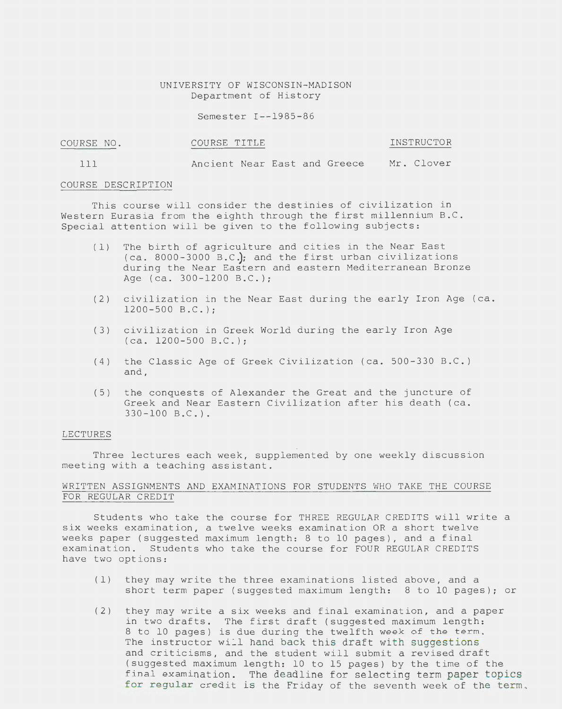UNIVERSITY OF WISCONSIN-MADISON Department of History

Semester I--1985-86

| COURSE NO. | COURSE TITLE | INSTRUCTOR |
|------------|--------------|------------|
|            |              |            |

111 Ancient Near East and Greece Mr. Clover

### COURSE DESCRIPTION

This course will consider the destinies of civilization in Western Eurasia from the eighth through the first millennium B.C. Special attention will be given to the following subjects:

- (1) The birth of agriculture and cities in the Near East (ca. 8000-3000 B.CJ; and the first urban civilizations during the Near Eastern and eastern Mediterranean Bronze Age (ca. 300-1200 B.C.);
- (2) civilization in the Near East during the early Iron Age (ca. 1200-500 B.C.);
- (3) civilization in Greek World during the early Iron Age (ca. 1200-500 B.C.);
- (4) the Classic Age of Greek Civilization (ca. 500-330 B.C.) and,
- (5) the conquests of Alexander the Great and the juncture of Greek and Near Eastern Civilization after his death (ca. 330-100 B.C.).

#### LECTURES

Three lectures each week, supplemented by one weekly discussion meeting with a teaching assistant.

# WRITTEN ASSIGNMENTS AND EXAMINATIONS FOR STUDENTS WHO TAKE THE COURSE FOR REGULAR CREDIT

Students who take the course for THREE REGULAR CREDITS will write a six weeks examination, a twelve weeks examination OR a short twelve weeks paper (suggested maximum length: 8 to 10 pages), and a final examination. Students who take the course for FOUR REGULAR CREDITS have two options:

- (1) they may write the three examinations listed above, and a short term paper (suggested maximum length: 8 to 10 pages); or
- (2) they may write a six weeks and final examination, and a paper in two drafts. The first draft (suggested maximum length: 8 to 10 pages) is due during the twelfth week of the term. The instructor will hand back this draft with suggestions and criticisms, and the student will submit a revised draft (suggested maximum length: 10 to 15 pages) by the time of the final examination. The deadline for selecting term paper topics for regular credit is the Friday of the seventh week of the term.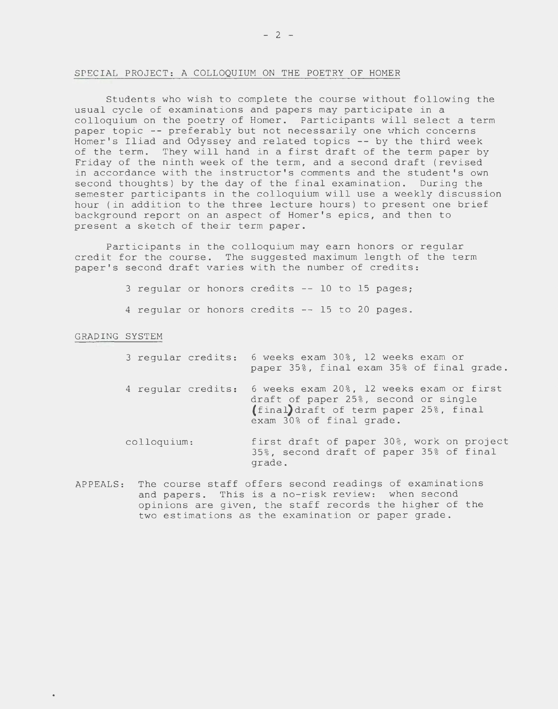#### SPECIAL PROJECT: A COLLOQUIUM ON THE POETRY OF HOMER

Students who wish to complete the course without following the usual cycle of examinations and papers may participate in a colloquium on the poetry of Homer. Participants will select a term paper topic -- preferably but not necessarily one which concerns Homer's Iliad and Odyssey and related topics -- by the third week of the term. They will hand in a first draft of the term paper by Friday of the ninth week of the term, and a second draft (revised in accordance with the instructor's comments and the student's own second thoughts) by the day of the final examination. During the semester participants in the colloquium will use a weekly discussion hour (in addition to the three lecture hours) to present one brief background report on an aspect of Homer's epics, and then to present a sketch of their term paper.

Participants in the colloquium may earn honors or regular credit for the course. The suggested maximum length of the term paper's second draft varies with the number of credits:

 $3$  regular or honors credits  $-$  10 to 15 pages;

4 regular or honors credits -- 15 to 20 pages.

## GRADING SYSTEM

| 3 regular credits: | 6 weeks exam 30%, 12 weeks exam or<br>paper 35%, final exam 35% of final grade.                                                                       |
|--------------------|-------------------------------------------------------------------------------------------------------------------------------------------------------|
| 4 reqular credits: | 6 weeks exam 20%, 12 weeks exam or first<br>draft of paper 25%, second or single<br>(final)draft of term paper 25%, final<br>exam 30% of final grade. |
| colloquium:        | first draft of paper 30%, work on project<br>35%, second draft of paper 35% of final<br>grade.                                                        |

APPEALS: The course staff offers second readings of examinations and papers. This is a no-risk review: when second opinions are given, the staff records the higher of the two estimations as the examination or paper grade.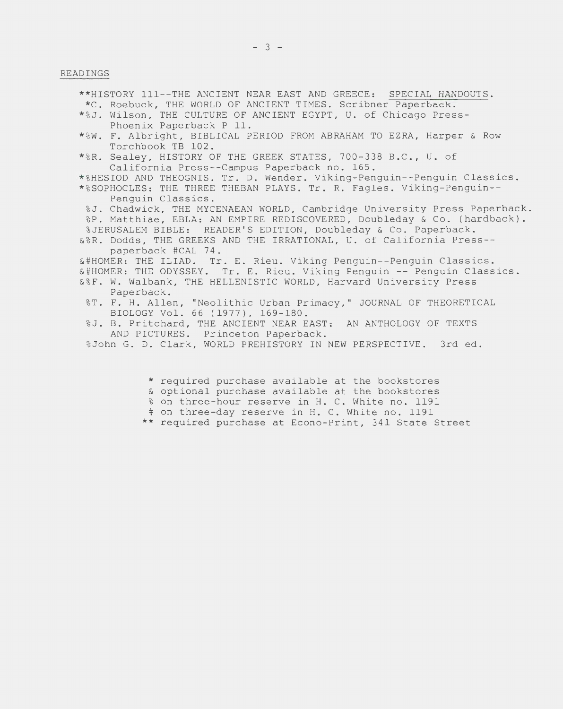### READINGS

\*\*HISTORY 111--THE ANCIENT NEAR EAST AND GREECE: SPECIAL HANDOUTS. \*C. Roebuck, THE WORLD OF ANCIENT TIMES. Scribner Paperback. \* %J. Wilson, THE CULTURE OF ANCIENT EGYPT, U. of Chicago Press-Phoenix Paperback P 11. \* %W. F. Albright, BIBLICAL PERIOD FROM ABRAHAM TO EZRA, Harper & Row Torchbook TB 102. \* %R. Sealey, HISTORY OF THE GREEK STATES, 700-338 B.C., U. of California Press--Campus Paperback no. 165. \* %HESIOD AND THEOGNIS. Tr. D. Wender. Viking-Penguin--Penguin Classics. \* %SOPHOCLES: THE THREE THEBAN PLAYS. Tr. R. Fagles. Viking-Penguin-- Penguin Classics. %J. Chadwick, THE MYCENAEAN WORLD, Cambridge University Press Paperback. %P. Matthiae, EBLA: AN EMPIRE REDISCOVERED, Doubleday & Co. (hardback). %JERUSALEM BIBLE: READER'S EDITION, Doubleday & Co. Paperback. &%R. Dodds, THE GREEKS AND THE IRRATIONAL, U. of California Press- paperback #CAL 74. &#HOMER: THE ILIAD. Tr. E. Rieu. Viking Penguin--Penguin Classics. &#HOMER: THE ODYSSEY. Tr. E. Rieu. Viking Penguin --Penguin Classics. &%F. W. Walbank, THE HELLENISTIC WORLD, Harvard University Press Paperback. %T. F. H. Allen, "Neolithic Urban Primacy," JOURNAL OF THEORETICAL BIOLOGY Vol. 66 (1977), 169-180. %J. B. Pritchard, THE ANCIENT NEAR EAST: AN ANTHOLOGY OF TEXTS AND PICTURES. Princeton Paperback. %John G. D. Clark, WORLD PREHISTORY IN NEW PERSPECTIVE. 3rd ed.

\* required purchase available at the bookstores

& optional purchase available at the bookstores

% on three-hour reserve in H. C. White no. 1191

# on three-day reserve in H. C. White no. 1191

\*\* required purchase at Econo-Print, 341 State Street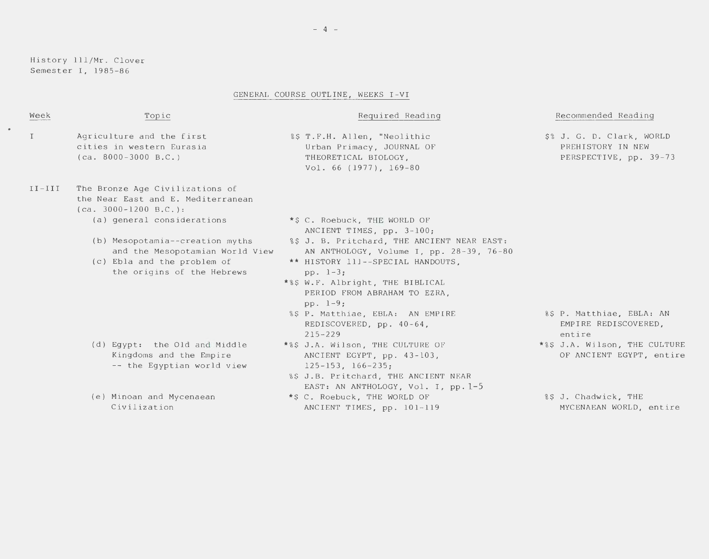History 111/Mr. Clover Semester I, 1985-86

 $\bullet$ 

## GENERAL COURSE OUTLINE, WEEKS I-VI

| Week         | Topic                                                                                                                           | Required Reading                                                                                                                                                                                                                                                   | Recommended Reading                                                      |
|--------------|---------------------------------------------------------------------------------------------------------------------------------|--------------------------------------------------------------------------------------------------------------------------------------------------------------------------------------------------------------------------------------------------------------------|--------------------------------------------------------------------------|
| $\mathbf{I}$ | Agriculture and the first<br>cities in western Eurasia<br>$(ca. 8000-3000 B.C.)$                                                | %\$ T.F.H. Allen, "Neolithic<br>Urban Primacy, JOURNAL OF<br>THEORETICAL BIOLOGY,<br>Vol. 66 (1977), 169-80                                                                                                                                                        | \$% J. G. D. Clark, WORLD<br>PREHISTORY IN NEW<br>PERSPECTIVE, pp. 39-73 |
| $II-III$     | The Bronze Age Civilizations of<br>the Near East and E. Mediterranean<br>$(ca. 3000-1200 B.C.):$                                |                                                                                                                                                                                                                                                                    |                                                                          |
|              | (a) general considerations                                                                                                      | *\$ C. Roebuck, THE WORLD OF<br>ANCIENT TIMES, pp. 3-100;                                                                                                                                                                                                          |                                                                          |
|              | (b) Mesopotamia--creation myths<br>and the Mesopotamian World View<br>(c) Ebla and the problem of<br>the origins of the Hebrews | %\$ J. B. Pritchard, THE ANCIENT NEAR EAST:<br>AN ANTHOLOGY, Volume I, pp. 28-39, 76-80<br>** HISTORY 111--SPECIAL HANDOUTS,<br>pp. $1-3$ ;<br>*%\$ W.F. Albright, THE BIBLICAL<br>PERIOD FROM ABRAHAM TO EZRA.<br>pp. $1-9$ ;<br>%\$ P. Matthiae, EBLA: AN EMPIRE | %\$ P. Matthiae, EBLA: AN                                                |
|              |                                                                                                                                 | REDISCOVERED, $pp. 40-64$ ,<br>$215 - 229$                                                                                                                                                                                                                         | EMPIRE REDISCOVERED,<br>entire                                           |
|              | (d) Eqypt: the Old and Middle<br>Kingdoms and the Empire<br>-- the Egyptian world view                                          | *%\$ J.A. Wilson, THE CULTURE OF<br>ANCIENT EGYPT, pp. 43-103,<br>$125 - 153$ , $166 - 235$ ;<br>%\$ J.B. Pritchard, THE ANCIENT NEAR<br>EAST: AN ANTHOLOGY, Vol. I, pp. 1-5                                                                                       | *%\$ J.A. Wilson, THE CULTURE<br>OF ANCIENT EGYPT, entire                |
|              | (e) Minoan and Mycenaean<br>Civilization                                                                                        | *\$ C. Roebuck, THE WORLD OF<br>ANCIENT TIMES, pp. 101-119                                                                                                                                                                                                         | %\$ J. Chadwick, THE<br>MYCENAEAN WORLD, entire                          |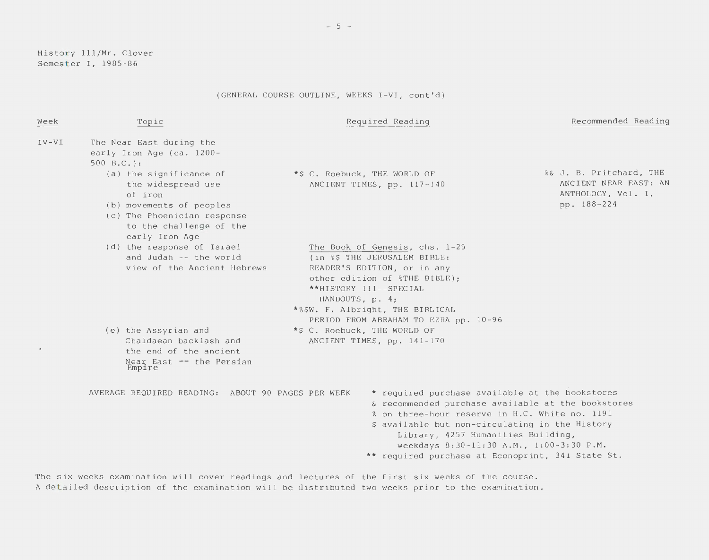History 111/Mr. Clover Semester I, 1985-86

(GENERAL COURSE OUTLINE, WEEKS I-VI, cont'd)

| Week    | Topic                                                                                                                                                            | Required Reading                                                                                                                                                                                                                                                                                                                                  | Recommended Reading                                                                   |
|---------|------------------------------------------------------------------------------------------------------------------------------------------------------------------|---------------------------------------------------------------------------------------------------------------------------------------------------------------------------------------------------------------------------------------------------------------------------------------------------------------------------------------------------|---------------------------------------------------------------------------------------|
| $IV-VI$ | The Near East during the<br>early Iron Age (ca. 1200-<br>$500 B.C.$ :                                                                                            |                                                                                                                                                                                                                                                                                                                                                   |                                                                                       |
|         | (a) the significance of<br>the widespread use<br>of iron<br>(b) movements of peoples<br>(c) The Phoenician response<br>to the challenge of the<br>early Iron Age | *\$ C. Roebuck, THE WORLD OF<br>ANCIENT TIMES, pp. 117-140                                                                                                                                                                                                                                                                                        | %& J. B. Pritchard, THE<br>ANCIENT NEAR EAST: AN<br>ANTHOLOGY, Vol. I,<br>pp. 188-224 |
|         | (d) the response of Israel<br>and Judah -- the world<br>view of the Ancient Hebrews                                                                              | The Book of Genesis, chs. 1-25<br>(in %\$ THE JERUSALEM BIBLE:<br>READER'S EDITION, or in any<br>other edition of \$THE BIBLE);<br>**HISTORY 111--SPECIAL<br>HANDOUTS, p. 4;<br>*%\$W. F. Albright, THE BIBLICAL                                                                                                                                  |                                                                                       |
|         | (e) the Assyrian and<br>Chaldaean backlash and<br>the end of the ancient<br>Near East -- the Persian<br>Empire                                                   | PERIOD FROM ABRAHAM TO EZRA pp. 10-96<br>*\$ C. Roebuck, THE WORLD OF<br>ANCIENT TIMES, pp. 141-170                                                                                                                                                                                                                                               |                                                                                       |
|         | AVERAGE REQUIRED READING: ABOUT 90 PAGES PER WEEK                                                                                                                | * required purchase available at the bookstores<br>& recommended purchase available at the bookstores<br>% on three-hour reserve in H.C. White no. 1191<br>\$ available but non-circulating in the History<br>Library, 4257 Humanities Building,<br>weekdays 8:30-11:30 A.M., 1:00-3:30 P.M.<br>** required purchase at Econoprint, 341 State St. |                                                                                       |
|         |                                                                                                                                                                  | The six weeks examination will cover readings and lectures of the first six weeks of the course.                                                                                                                                                                                                                                                  |                                                                                       |

A detailed description of the examination will be distributed two weeks prior to the examination.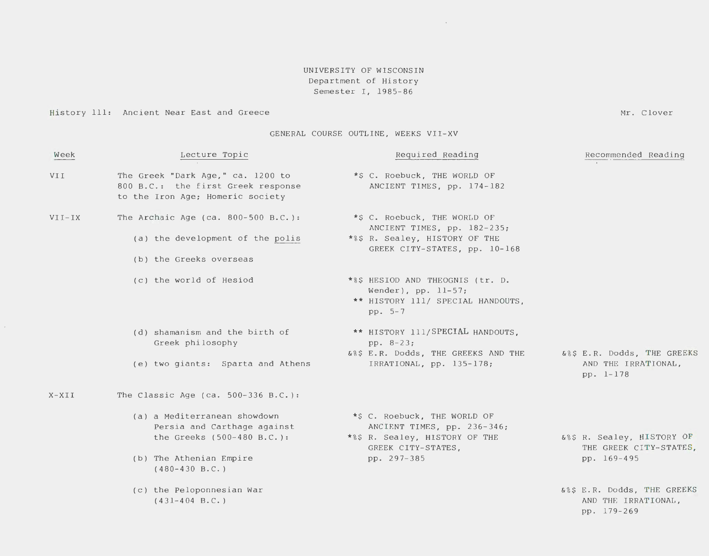# UNIVERSITY OF WISCONSIN Department of History Semester I, 1985- 86

 $\sim 10^{-11}$ 

History 111: Ancient Near East and Greece

GENERAL COURSE OUTLINE, WEEKS VII-XV

Mr. Clover

| Week       | Lecture Topic                                                                                                                            | Required Reading                                                                                                                   | Recommended Reading                                                 |
|------------|------------------------------------------------------------------------------------------------------------------------------------------|------------------------------------------------------------------------------------------------------------------------------------|---------------------------------------------------------------------|
| <b>VII</b> | The Greek "Dark Age," ca. 1200 to<br>800 B.C.: the first Greek response<br>to the Iron Age; Homeric society                              | *\$ C. Roebuck, THE WORLD OF<br>ANCIENT TIMES, pp. 174-182                                                                         |                                                                     |
| $VII-IX$   | The Archaic Age (ca. $800-500$ B.C.):<br>(a) the development of the polis<br>(b) the Greeks overseas                                     | *\$ C. Roebuck, THE WORLD OF<br>ANCIENT TIMES, pp. 182-235;<br>*%\$ R. Sealey, HISTORY OF THE<br>GREEK CITY-STATES, pp. 10-168     |                                                                     |
|            | (c) the world of Hesiod                                                                                                                  | *%\$ HESIOD AND THEOGNIS (tr. D.<br>Wender), pp. $11-57$ ;<br>** HISTORY 111/ SPECIAL HANDOUTS,<br>pp. 5-7                         |                                                                     |
|            | (d) shamanism and the birth of<br>Greek philosophy<br>(e) two giants: Sparta and Athens                                                  | ** HISTORY 111/SPECIAL HANDOUTS,<br>pp. $8-23$ ;<br>&%\$ E.R. Dodds, THE GREEKS AND THE<br>IRRATIONAL, pp. 135-178;                | 6%\$ E.R. Dodds, THE GREEKS<br>AND THE IRRATIONAL,<br>pp. 1-178     |
| $X - XII$  | The Classic Age (ca. $500-336$ B.C.):                                                                                                    |                                                                                                                                    |                                                                     |
|            | (a) a Mediterranean showdown<br>Persia and Carthage against<br>the Greeks (500-480 B.C.):<br>(b) The Athenian Empire<br>$(480-430 B.C.)$ | *\$ C. Roebuck, THE WORLD OF<br>ANCIENT TIMES, pp. 236-346;<br>*%\$ R. Sealey, HISTORY OF THE<br>GREEK CITY-STATES,<br>pp. 297-385 | 6%\$ R. Sealey, HISTORY OF<br>THE GREEK CITY-STATES,<br>pp. 169-495 |
|            | (c) the Peloponnesian War<br>$(431-404 \text{ B.C.})$                                                                                    |                                                                                                                                    | &%\$ E.R. Dodds, THE GREEKS<br>AND THE IRRATIONAL,<br>pp. 179-269   |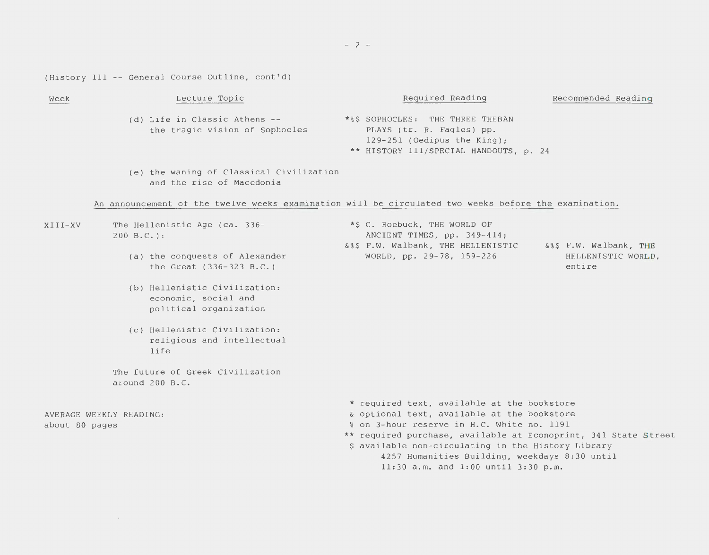$- 2 -$ 

(History 111 -- General Course Outline, cont'd)

 $\mathcal{L}^{\text{max}}_{\text{max}}$  and  $\mathcal{L}^{\text{max}}_{\text{max}}$ 

| Week                                      | Lecture Topic                                                                                        | Required Reading                                                                                                                                                                                                                                                                                                                                           | Recommended Reading    |
|-------------------------------------------|------------------------------------------------------------------------------------------------------|------------------------------------------------------------------------------------------------------------------------------------------------------------------------------------------------------------------------------------------------------------------------------------------------------------------------------------------------------------|------------------------|
|                                           | (d) Life in Classic Athens --<br>the tragic vision of Sophocles                                      | *%\$ SOPHOCLES: THE THREE THEBAN<br>PLAYS (tr. R. Fagles) pp.<br>129-251 (Oedipus the King);<br>** HISTORY 111/SPECIAL HANDOUTS, p. 24                                                                                                                                                                                                                     |                        |
|                                           | (e) the waning of Classical Civilization<br>and the rise of Macedonia                                |                                                                                                                                                                                                                                                                                                                                                            |                        |
|                                           | An announcement of the twelve weeks examination will be circulated two weeks before the examination. |                                                                                                                                                                                                                                                                                                                                                            |                        |
| XIII-XV                                   | The Hellenistic Age (ca. 336-<br>$200 B.C.$ :                                                        | *\$ C. Roebuck, THE WORLD OF<br>ANCIENT TIMES, pp. 349-414;<br>&%\$ F.W. Walbank, THE HELLENISTIC<br>WORLD, pp. 29-78, 159-226<br>entire                                                                                                                                                                                                                   | 6%\$ F.W. Walbank, THE |
|                                           | (a) the conquests of Alexander<br>the Great (336-323 B.C.)                                           |                                                                                                                                                                                                                                                                                                                                                            | HELLENISTIC WORLD,     |
|                                           | (b) Hellenistic Civilization:<br>economic, social and<br>political organization                      |                                                                                                                                                                                                                                                                                                                                                            |                        |
|                                           | (c) Hellenistic Civilization:<br>religious and intellectual<br>life                                  |                                                                                                                                                                                                                                                                                                                                                            |                        |
|                                           | The future of Greek Civilization<br>around 200 B.C.                                                  |                                                                                                                                                                                                                                                                                                                                                            |                        |
| AVERAGE WEEKLY READING:<br>about 80 pages |                                                                                                      | * required text, available at the bookstore<br>& optional text, available at the bookstore<br>% on 3-hour reserve in H.C. White no. 1191<br>** required purchase, available at Econoprint, 341 State Street<br>\$ available non-circulating in the History Library<br>4257 Humanities Building, weekdays 8:30 until<br>11:30 a.m. and 1:00 until 3:30 p.m. |                        |